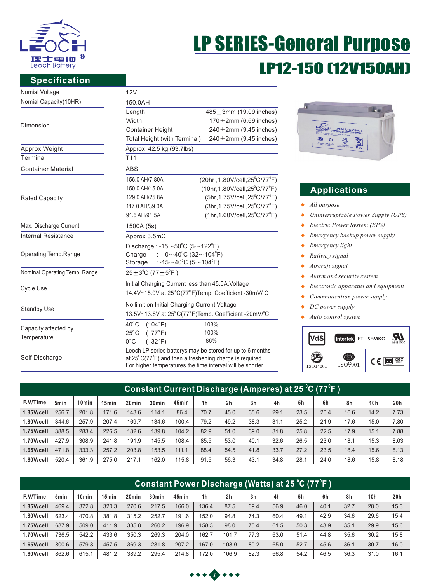

# LP SERIES-General Purpose LP12-150 (12V150AH)

## **Specification**

| $485 \pm 3$ mm (19.09 inches)<br>$170 \pm 2$ mm (6.69 inches)<br>$240 \pm 2$ mm (9.45 inches)<br>$240 \pm 2$ mm (9.45 inches)<br>(20hr, 1.80V/cell, 25°C/77°F)<br>$(10hr, 1.80V/cell, 25^{\circ}C/77^{\circ}F)$<br>$(5hr, 1.75V/cell, 25^{\circ}C/77^{\circ}F)$                                                                                                                                                                                                                                                                                                                                                                                                                 |  |  |  |  |  |  |  |
|---------------------------------------------------------------------------------------------------------------------------------------------------------------------------------------------------------------------------------------------------------------------------------------------------------------------------------------------------------------------------------------------------------------------------------------------------------------------------------------------------------------------------------------------------------------------------------------------------------------------------------------------------------------------------------|--|--|--|--|--|--|--|
|                                                                                                                                                                                                                                                                                                                                                                                                                                                                                                                                                                                                                                                                                 |  |  |  |  |  |  |  |
|                                                                                                                                                                                                                                                                                                                                                                                                                                                                                                                                                                                                                                                                                 |  |  |  |  |  |  |  |
|                                                                                                                                                                                                                                                                                                                                                                                                                                                                                                                                                                                                                                                                                 |  |  |  |  |  |  |  |
|                                                                                                                                                                                                                                                                                                                                                                                                                                                                                                                                                                                                                                                                                 |  |  |  |  |  |  |  |
|                                                                                                                                                                                                                                                                                                                                                                                                                                                                                                                                                                                                                                                                                 |  |  |  |  |  |  |  |
|                                                                                                                                                                                                                                                                                                                                                                                                                                                                                                                                                                                                                                                                                 |  |  |  |  |  |  |  |
|                                                                                                                                                                                                                                                                                                                                                                                                                                                                                                                                                                                                                                                                                 |  |  |  |  |  |  |  |
|                                                                                                                                                                                                                                                                                                                                                                                                                                                                                                                                                                                                                                                                                 |  |  |  |  |  |  |  |
|                                                                                                                                                                                                                                                                                                                                                                                                                                                                                                                                                                                                                                                                                 |  |  |  |  |  |  |  |
|                                                                                                                                                                                                                                                                                                                                                                                                                                                                                                                                                                                                                                                                                 |  |  |  |  |  |  |  |
|                                                                                                                                                                                                                                                                                                                                                                                                                                                                                                                                                                                                                                                                                 |  |  |  |  |  |  |  |
|                                                                                                                                                                                                                                                                                                                                                                                                                                                                                                                                                                                                                                                                                 |  |  |  |  |  |  |  |
| $(1hr, 1.60V/cell, 25^{\circ}C/77^{\circ}F)$                                                                                                                                                                                                                                                                                                                                                                                                                                                                                                                                                                                                                                    |  |  |  |  |  |  |  |
|                                                                                                                                                                                                                                                                                                                                                                                                                                                                                                                                                                                                                                                                                 |  |  |  |  |  |  |  |
|                                                                                                                                                                                                                                                                                                                                                                                                                                                                                                                                                                                                                                                                                 |  |  |  |  |  |  |  |
|                                                                                                                                                                                                                                                                                                                                                                                                                                                                                                                                                                                                                                                                                 |  |  |  |  |  |  |  |
|                                                                                                                                                                                                                                                                                                                                                                                                                                                                                                                                                                                                                                                                                 |  |  |  |  |  |  |  |
| 1500A (5s)<br>Approx $3.5m\Omega$<br>Discharge: $-15 \sim 50^{\circ}$ C (5 $\sim$ 122 $^{\circ}$ F)<br>$0 \sim 40^{\circ}$ C (32 $\sim$ 104 $^{\circ}$ F)<br>Charge<br>÷.<br>: -15 $\sim$ 40°C (5 $\sim$ 104°F)<br>Storage<br>$25 \pm 3^{\circ}$ C (77 $\pm 5^{\circ}$ F)                                                                                                                                                                                                                                                                                                                                                                                                       |  |  |  |  |  |  |  |
|                                                                                                                                                                                                                                                                                                                                                                                                                                                                                                                                                                                                                                                                                 |  |  |  |  |  |  |  |
| (3hr, 1.75V/cell, 25°C/77°F)                                                                                                                                                                                                                                                                                                                                                                                                                                                                                                                                                                                                                                                    |  |  |  |  |  |  |  |
| 14.4V~15.0V at 25°C(77°F)Temp. Coefficient -30mV/°C                                                                                                                                                                                                                                                                                                                                                                                                                                                                                                                                                                                                                             |  |  |  |  |  |  |  |
| 12V<br>150.0AH<br>Length<br>Width<br><b>Container Height</b><br>Total Height (with Terminal)<br>Approx 42.5 kg (93.7lbs)<br>T <sub>11</sub><br><b>ABS</b><br>156.0 AH/7.80A<br>150.0 AH/15.0A<br>129.0 AH/25.8A<br>117.0 AH/39.0A<br>91.5 AH/91.5A<br>Initial Charging Current less than 45.0A. Voltage<br>No limit on Initial Charging Current Voltage<br>13.5V~13.8V at 25°C(77°F)Temp. Coefficient -20mV/°C<br>$40^{\circ}$ C<br>(104°F)<br>103%<br>100%<br>$25^{\circ}$ C<br>(77°F)<br>86%<br>$0^{\circ}$ C<br>$32^{\circ}$ F)<br>Leoch LP series batterys may be stored for up to 6 months<br>at $25^{\circ}$ C(77 $^{\circ}$ F) and then a freshening charge is required. |  |  |  |  |  |  |  |
|                                                                                                                                                                                                                                                                                                                                                                                                                                                                                                                                                                                                                                                                                 |  |  |  |  |  |  |  |
|                                                                                                                                                                                                                                                                                                                                                                                                                                                                                                                                                                                                                                                                                 |  |  |  |  |  |  |  |
|                                                                                                                                                                                                                                                                                                                                                                                                                                                                                                                                                                                                                                                                                 |  |  |  |  |  |  |  |
|                                                                                                                                                                                                                                                                                                                                                                                                                                                                                                                                                                                                                                                                                 |  |  |  |  |  |  |  |
|                                                                                                                                                                                                                                                                                                                                                                                                                                                                                                                                                                                                                                                                                 |  |  |  |  |  |  |  |
| For higher temperatures the time interval will be shorter.                                                                                                                                                                                                                                                                                                                                                                                                                                                                                                                                                                                                                      |  |  |  |  |  |  |  |
|                                                                                                                                                                                                                                                                                                                                                                                                                                                                                                                                                                                                                                                                                 |  |  |  |  |  |  |  |



# **Applications**

- *All purpose*
- *Uninterruptable Power Supply (UPS)*  $\blacklozenge$
- *Electric Power System (EPS)*  $\blacklozenge$
- $\blacklozenge$ *Emergency backup power supply*
- *Emergency light*   $\bullet$
- $\ddot{\bullet}$ *Railway signal*
- *Aircraft signal*  $\ddot{\bullet}$
- $\bullet$ *Alarm and security system*
- *Electronic apparatus and equipment*  $\bullet$
- *Communication power supply*  $\bullet$
- $\blacklozenge$ *DC power supply*
- *Auto control system*  $\blacklozenge$



| <u> Constant Current Discharge (Amperes) at 25 °C (77°F )</u> |                  |                   |                   |                   |                   |       |                |                |                |      |      |      |      |                 |      |
|---------------------------------------------------------------|------------------|-------------------|-------------------|-------------------|-------------------|-------|----------------|----------------|----------------|------|------|------|------|-----------------|------|
| F.V/Time                                                      | 5 <sub>min</sub> | 10 <sub>min</sub> | 15 <sub>min</sub> | 20 <sub>min</sub> | 30 <sub>min</sub> | 45min | 1 <sub>h</sub> | 2 <sub>h</sub> | 3 <sub>h</sub> | 4h   | 5h   | 6h   | 8h   | 10 <sub>h</sub> | 20h  |
| $1.85$ V/cell                                                 | 256.7            | 201.8             | 171.6             | 143.6             | 114.1             | 86.4  | 70.7           | 45.0           | 35.6           | 29.1 | 23.5 | 20.4 | 16.6 | 14.2            | 7.73 |
| $1.80$ V/cell                                                 | 344.6            | 257.9             | 207.4             | 169.7             | 134.6             | 100.4 | 79.2           | 49.2           | 38.3           | 31.1 | 25.2 | 21.9 | 17.6 | 15.0            | 7.80 |
| $1.75$ V/cell                                                 | 388.5            | 283.4             | 226.5             | 182.6             | 139.8             | 104.2 | 82.9           | 51.0           | 39.0           | 31.8 | 25.8 | 22.5 | 17.9 | 15.1            | 7.88 |
| 1.70V/cell                                                    | 427.9            | 308.9             | 241.8             | 191.9             | 145.5             | 108.4 | 85.5           | 53.0           | 40.1           | 32.6 | 26.5 | 23.0 | 18.1 | 15.3            | 8.03 |
| $1.65$ V/cell                                                 | 471.8            | 333.3             | 257.2             | 203.8             | 153.5             | 111.1 | 88.4           | 54.5           | 41.8           | 33.7 | 27.2 | 23.5 | 18.4 | 15.6            | 8.13 |
| $1.60$ V/cell                                                 | 520.4            | 361.9             | 275.0             | 217.1             | 162.0             | 115.8 | 91.5           | 56.3           | 43.1           | 34.8 | 28.1 | 24.0 | 18.6 | 15.8            | 8.18 |

| <u> Constant Power Discharge (Watts) at 25 °C (77°F )</u> |                  |                   |                   |                   |                   |       |                |                |                |      |      |      |      |                 |      |
|-----------------------------------------------------------|------------------|-------------------|-------------------|-------------------|-------------------|-------|----------------|----------------|----------------|------|------|------|------|-----------------|------|
| F.V/Time                                                  | 5 <sub>min</sub> | 10 <sub>min</sub> | 15 <sub>min</sub> | 20 <sub>min</sub> | 30 <sub>min</sub> | 45min | 1 <sub>h</sub> | 2 <sub>h</sub> | 3 <sub>h</sub> | 4h   | 5h   | 6h   | 8h   | 10 <sub>h</sub> | 20h  |
| $1.85$ V/cell                                             | 469.4            | 372.8             | 320.3             | 270.6             | 217.5             | 166.0 | 136.4          | 87.5           | 69.4           | 56.9 | 46.0 | 40.1 | 32.7 | 28.0            | 15.3 |
| $1.80$ V/cell                                             | 623.4            | 470.8             | 381.8             | 315.2             | 252.7             | 191.6 | 152.0          | 94.8           | 74.3           | 60.4 | 49.1 | 42.9 | 34.6 | 29.6            | 15.4 |
| $1.75$ V/cell                                             | 687.9            | 509.0             | 411.9             | 335.8             | 260.2             | 196.9 | 158.3          | 98.0           | 75.4           | 61.5 | 50.3 | 43.9 | 35.1 | 29.9            | 15.6 |
| 1.70V/cell                                                | 736.5            | 542.2             | 433.6             | 350.3             | 269.3             | 204.0 | 162.7          | 101.7          | 77.3           | 63.0 | 51.4 | 44.8 | 35.6 | 30.2            | 15.8 |
| $1.65$ V/cell                                             | 800.6            | 579.8             | 457.5             | 369.3             | 281.8             | 207.2 | 167.0          | 103.9          | 80.2           | 65.0 | 52.7 | 45.6 | 36.1 | 30.7            | 16.0 |
| $1.60$ V/cell                                             | 862.6            | 615.1             | 481.2             | 389.2             | 295.4             | 214.8 | 172.0          | 106.9          | 82.3           | 66.8 | 54.2 | 46.5 | 36.3 | 31.0            | 16.1 |